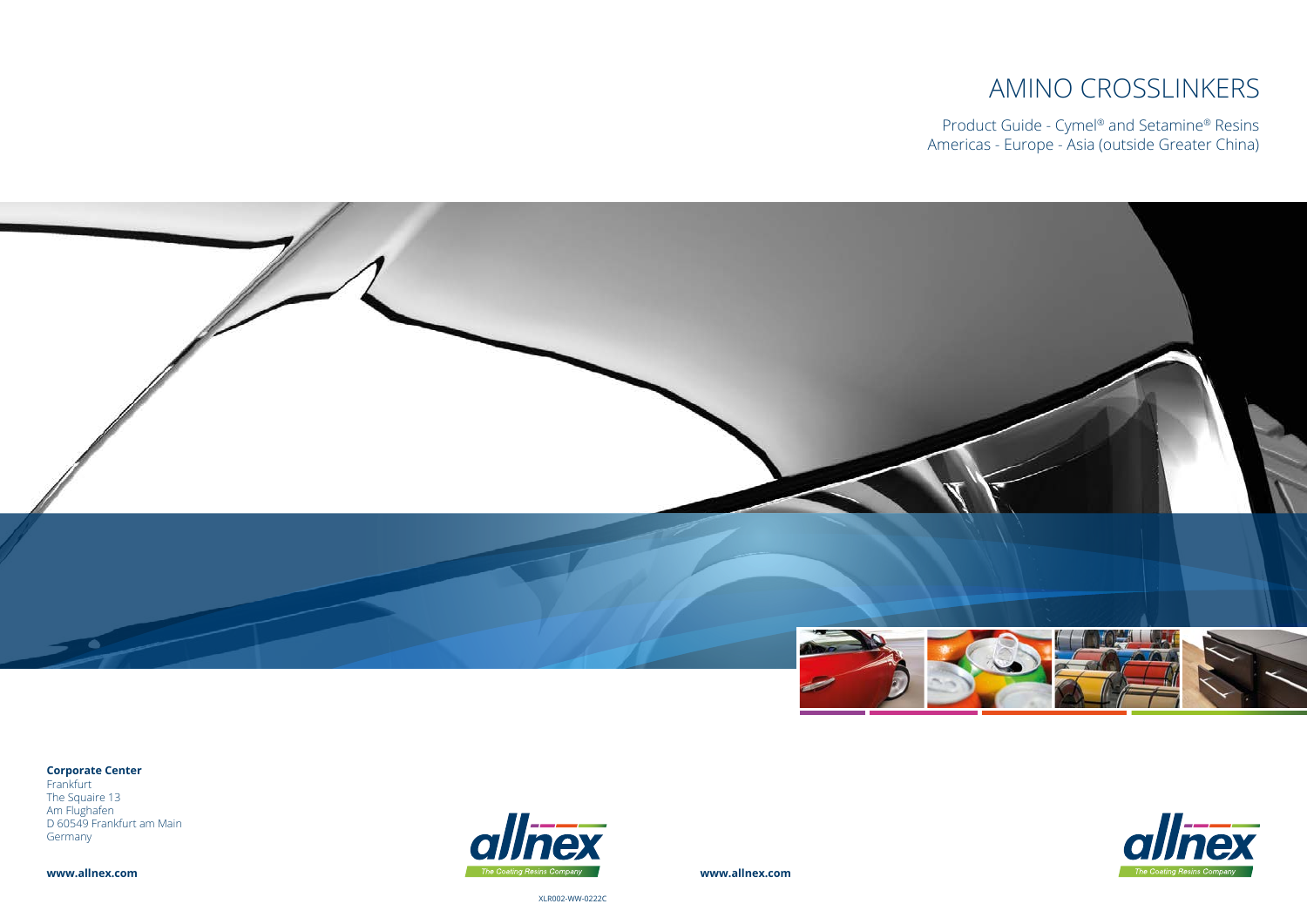**www.allnex.com**

XLR002-WW-0222C

# AMINO CROSSLINKERS

Product Guide - Cymel® and Setamine® Resins Americas - Europe - Asia (outside Greater China)







#### **Corporate Center**

Frankfurt The Squaire 13 Am Flughafen D 60549 Frankfurt am Main Germany

**www.allnex.com**

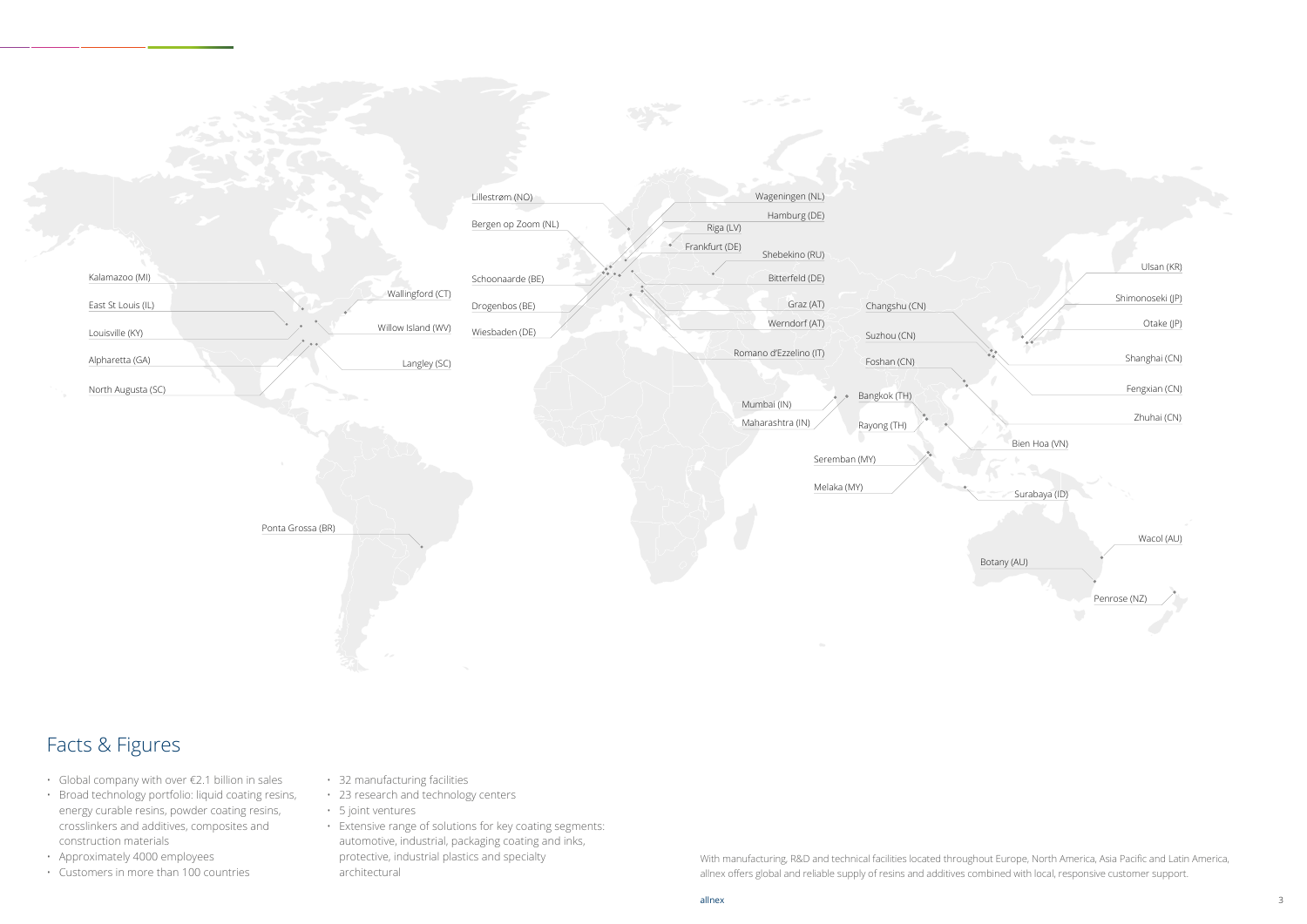## Facts & Figures

With manufacturing, R&D and technical facilities located throughout Europe, North America, Asia Pacific and Latin America, allnex offers global and reliable supply of resins and additives combined with local, responsive customer support.



- Global company with over €2.1 billion in sales
- Broad technology portfolio: liquid coating resins, energy curable resins, powder coating resins, crosslinkers and additives, composites and construction materials
- Approximately 4000 employees
- Customers in more than 100 countries
- 32 manufacturing facilities
- 23 research and technology centers
- 5 joint ventures
- Extensive range of solutions for key coating segments: automotive, industrial, packaging coating and inks, protective, industrial plastics and specialty architectural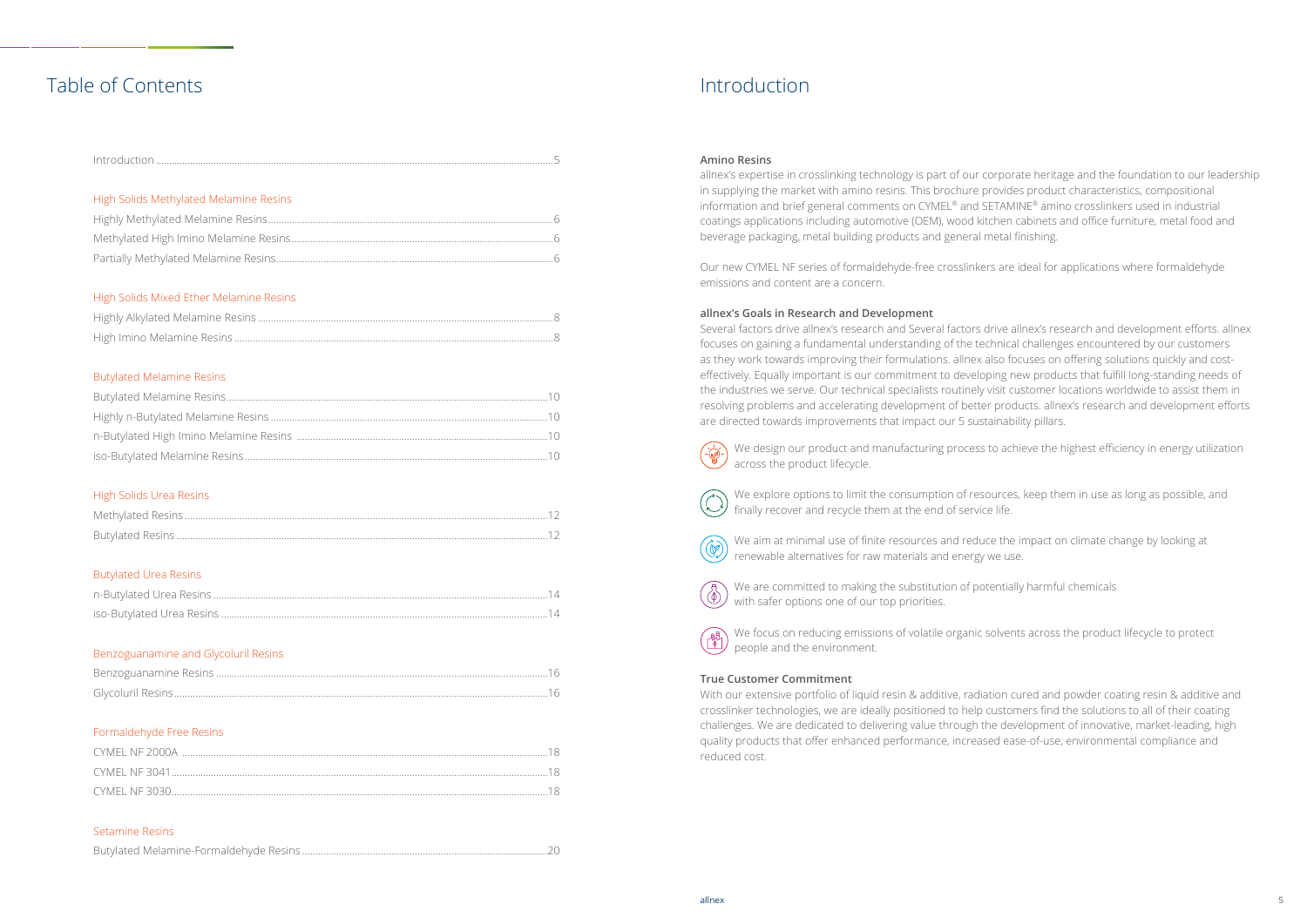### Table of Contents

| High Solids Methylated Melamine Resins  |  |
|-----------------------------------------|--|
|                                         |  |
|                                         |  |
| High Solids Mixed Ether Melamine Resins |  |
|                                         |  |
|                                         |  |
| <b>Butylated Melamine Resins</b>        |  |
|                                         |  |

#### High Solids Urea Resins

#### Butylated Urea Resins

#### Benzoguanamine and Glycoluril Resins

With our extensive portfolio of liquid resin & additive, radiation cured and powder coating resin & additive and crosslinker technologies, we are ideally positioned to help customers find the solutions to all of their coating challenges. We are dedicated to delivering value through the development of innovative, market-leading, high quality products that offer enhanced performance, increased ease-of-use, environmental compliance and reduced cost.

#### Formaldehyde Free Resins

#### Setamine Resins

|--|

### Introduction

#### **Amino Resins**

allnex's expertise in crosslinking technology is part of our corporate heritage and the foundation to our leadership in supplying the market with amino resins. This brochure provides product characteristics, compositional information and brief general comments on CYMEL® and SETAMINE® amino crosslinkers used in industrial coatings applications including automotive (OEM), wood kitchen cabinets and office furniture, metal food and beverage packaging, metal building products and general metal finishing.

Our new CYMEL NF series of formaldehyde-free crosslinkers are ideal for applications where formaldehyde emissions and content are a concern.

#### **allnex's Goals in Research and Development**

Several factors drive allnex's research and Several factors drive allnex's research and development efforts. allnex focuses on gaining a fundamental understanding of the technical challenges encountered by our customers as they work towards improving their formulations. allnex also focuses on offering solutions quickly and costeffectively. Equally important is our commitment to developing new products that fulfill long-standing needs of the industries we serve. Our technical specialists routinely visit customer locations worldwide to assist them in resolving problems and accelerating development of better products. allnex's research and development efforts are directed towards improvements that impact our 5 sustainability pillars.

#### **True Customer Commitment**

We design our product and manufacturing process to achieve the highest efficiency in energy utilization



We explore options to limit the consumption of resources, keep them in use as long as possible, and finally recover and recycle them at the end of service life.



 $\bigcirc$ 

問

We are committed to making the substitution of potentially harmful chemicals with safer options one of our top priorities.

We focus on reducing emissions of volatile organic solvents across the product lifecycle to protect people and the environment.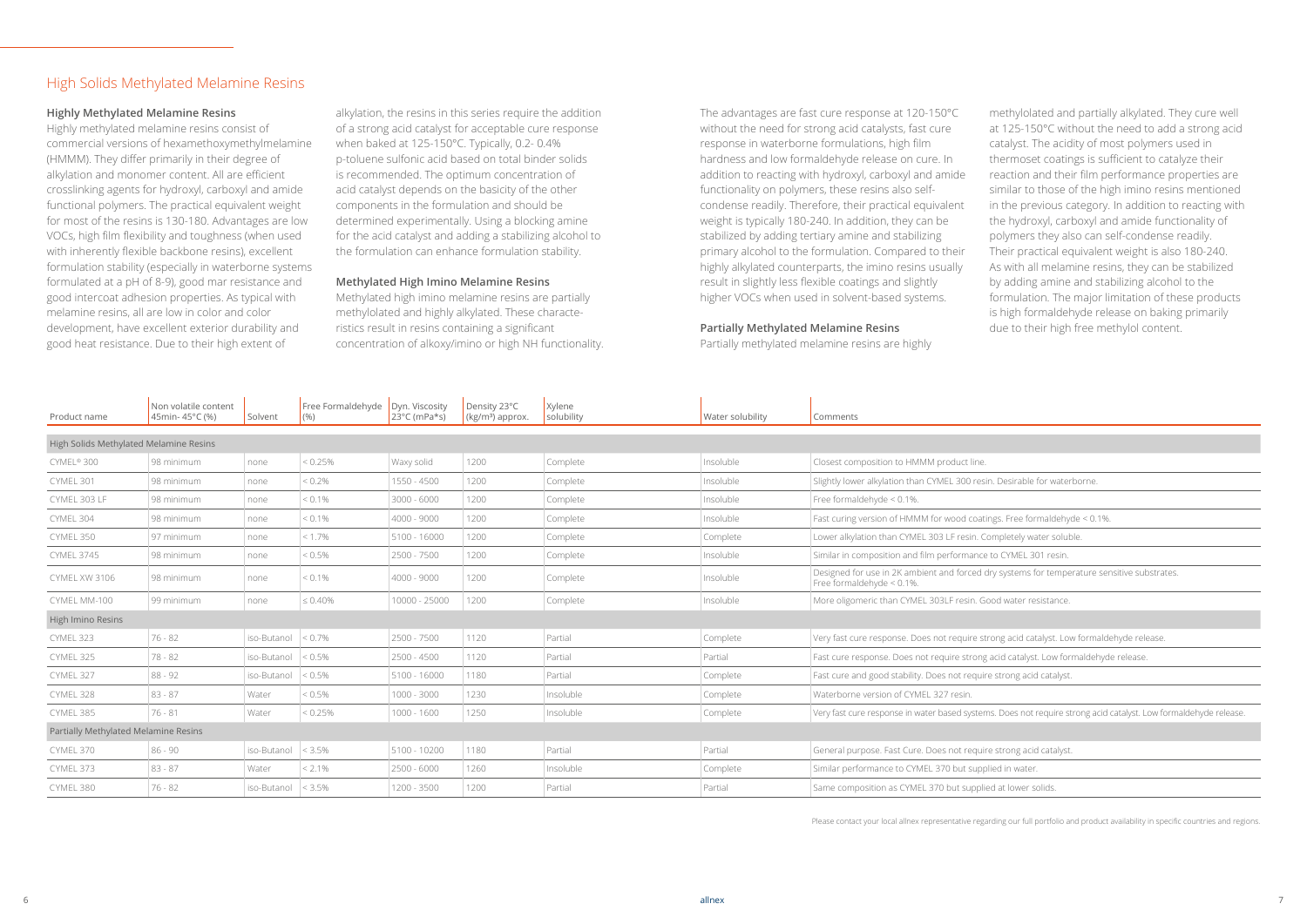#### High Solids Methylated Melamine Resins

#### **Highly Methylated Melamine Resins**

Highly methylated melamine resins consist of commercial versions of hexamethoxymethylmelamine (HMMM). They differ primarily in their degree of alkylation and monomer content. All are efficient crosslinking agents for hydroxyl, carboxyl and amide functional polymers. The practical equivalent weight for most of the resins is 130-180. Advantages are low VOCs, high film flexibility and toughness (when used with inherently flexible backbone resins), excellent formulation stability (especially in waterborne systems formulated at a pH of 8-9), good mar resistance and good intercoat adhesion properties. As typical with melamine resins, all are low in color and color development, have excellent exterior durability and good heat resistance. Due to their high extent of

alkylation, the resins in this series require the addition of a strong acid catalyst for acceptable cure response when baked at 125-150°C. Typically, 0.2- 0.4% p-toluene sulfonic acid based on total binder solids is recommended. The optimum concentration of acid catalyst depends on the basicity of the other components in the formulation and should be determined experimentally. Using a blocking amine for the acid catalyst and adding a stabilizing alcohol to the formulation can enhance formulation stability.

#### **Methylated High Imino Melamine Resins**

Methylated high imino melamine resins are partially methylolated and highly alkylated. These characteristics result in resins containing a significant concentration of alkoxy/imino or high NH functionality.

| Product name                           | Non volatile content<br>45min-45°C (%) | Solvent     | Free Formaldehyde<br>(9/0) | Dyn. Viscosity<br>23°C (mPa*s) | Density 23°C<br>$(kg/m3)$ approx. | Xylene<br>solubility | Water solubility | Comments                                                                                                                     |
|----------------------------------------|----------------------------------------|-------------|----------------------------|--------------------------------|-----------------------------------|----------------------|------------------|------------------------------------------------------------------------------------------------------------------------------|
| High Solids Methylated Melamine Resins |                                        |             |                            |                                |                                   |                      |                  |                                                                                                                              |
| CYMEL® 300                             | 98 minimum                             | none        | < 0.25%                    | Waxy solid                     | 1200                              | Complete             | Insoluble        | Closest composition to HMMM product line.                                                                                    |
| CYMEL 301                              | 98 minimum                             | none        | $< 0.2\%$                  | 1550 - 4500                    | 1200                              | Complete             | Insoluble        | Slightly lower alkylation than CYMEL 300 resin. Desirable for waterborne.                                                    |
| CYMEL 303 LF                           | 98 minimum                             | none        | $< 0.1\%$                  | $3000 - 6000$                  | 1200                              | Complete             | Insoluble        | Free formaldehyde $< 0.1\%$ .                                                                                                |
| CYMEL 304                              | 98 minimum                             | none        | $< 0.1\%$                  | 4000 - 9000                    | 1200                              | Complete             | Insoluble        | Fast curing version of HMMM for wood coatings. Free formaldehyde < 0.1%.                                                     |
| CYMEL 350                              | 97 minimum                             | none        | $< 1.7\%$                  | 5100 - 16000                   | 1200                              | Complete             | Complete         | Lower alkylation than CYMEL 303 LF resin. Completely water soluble.                                                          |
| <b>CYMEL 3745</b>                      | 98 minimum                             | none        | $< 0.5\%$                  | 2500 - 7500                    | 1200                              | Complete             | Insoluble        | Similar in composition and film performance to CYMEL 301 resin.                                                              |
| CYMEL XW 3106                          | 98 minimum                             | none        | $< 0.1\%$                  | 4000 - 9000                    | 1200                              | Complete             | Insoluble        | Designed for use in 2K ambient and forced dry systems for temperature sensitive substrates.<br>Free formaldehyde $< 0.1\%$ . |
| CYMEL MM-100                           | 99 minimum                             | none        | $\leq 0.40\%$              | 10000 - 25000                  | 1200                              | Complete             | Insoluble        | More oligomeric than CYMEL 303LF resin. Good water resistance.                                                               |
| High Imino Resins                      |                                        |             |                            |                                |                                   |                      |                  |                                                                                                                              |
| CYMEL 323                              | $76 - 82$                              | iso-Butanol | $< 0.7\%$                  | 2500 - 7500                    | 1120                              | Partial              | Complete         | Very fast cure response. Does not require strong acid catalyst. Low formaldehyde release.                                    |
| CYMEL 325                              | 78 - 82                                | iso-Butanol | $< 0.5\%$                  | 2500 - 4500                    | 1120                              | Partial              | Partial          | Fast cure response. Does not require strong acid catalyst. Low formaldehyde release.                                         |
| CYMEL 327                              | $88 - 92$                              | iso-Butanol | $ $ < 0.5%                 | 5100 - 16000                   | 1180                              | Partial              | Complete         | Fast cure and good stability. Does not require strong acid catalyst.                                                         |
| CYMEL 328                              | $83 - 87$                              | Water       | $< 0.5\%$                  | 1000 - 3000                    | 1230                              | Insoluble            | Complete         | Waterborne version of CYMEL 327 resin.                                                                                       |
| CYMEL 385                              | $76 - 81$                              | Water       | $ $ < 0.25%                | $1000 - 1600$                  | 1250                              | Insoluble            | Complete         | Very fast cure response in water based systems. Does not require strong acid catalyst. Low form                              |
| Partially Methylated Melamine Resins   |                                        |             |                            |                                |                                   |                      |                  |                                                                                                                              |
| CYMEL 370                              | $86 - 90$                              | iso-Butanol | $ <$ 3.5%                  | 5100 - 10200                   | 1180                              | Partial              | Partial          | General purpose. Fast Cure. Does not require strong acid catalyst.                                                           |
| CYMEL 373                              | $83 - 87$                              | Water       | $< 2.1\%$                  | $2500 - 6000$                  | 1260                              | Insoluble            | Complete         | Similar performance to CYMEL 370 but supplied in water.                                                                      |
| CYMEL 380                              | $76 - 82$                              | iso-Butanol | < 3.5%                     | 1200 - 3500                    | 1200                              | Partial              | Partial          | Same composition as CYMEL 370 but supplied at lower solids.                                                                  |

Please contact your local allnex representative regarding our full portfolio and product availability in specific countries and regions.

The advantages are fast cure response at 120-150°C without the need for strong acid catalysts, fast cure response in waterborne formulations, high film hardness and low formaldehyde release on cure. In addition to reacting with hydroxyl, carboxyl and amide functionality on polymers, these resins also selfcondense readily. Therefore, their practical equivalent weight is typically 180-240. In addition, they can be stabilized by adding tertiary amine and stabilizing primary alcohol to the formulation. Compared to their highly alkylated counterparts, the imino resins usually result in slightly less flexible coatings and slightly higher VOCs when used in solvent-based systems.

#### **Partially Methylated Melamine Resins**

Partially methylated melamine resins are highly

methylolated and partially alkylated. They cure well at 125-150°C without the need to add a strong acid catalyst. The acidity of most polymers used in thermoset coatings is sufficient to catalyze their reaction and their film performance properties are similar to those of the high imino resins mentioned in the previous category. In addition to reacting with the hydroxyl, carboxyl and amide functionality of polymers they also can self-condense readily. Their practical equivalent weight is also 180-240. As with all melamine resins, they can be stabilized by adding amine and stabilizing alcohol to the formulation. The major limitation of these products is high formaldehyde release on baking primarily due to their high free methylol content.

ms. Does not require strong acid catalyst. Low formaldehyde release.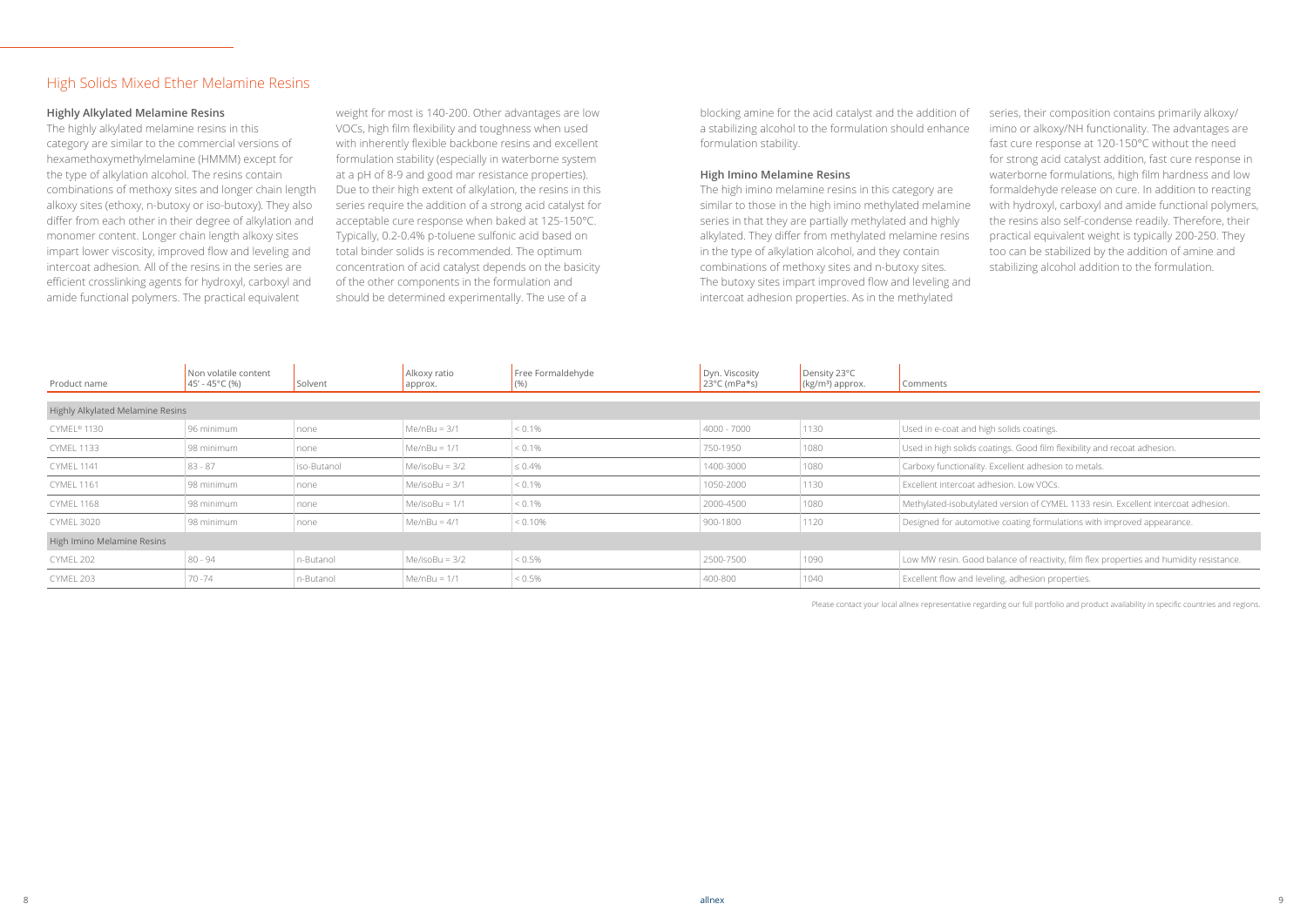blocking amine for the acid catalyst and the addition of a stabilizing alcohol to the formulation should enhance formulation stability.

#### **High Imino Melamine Resins**

The high imino melamine resins in this category are similar to those in the high imino methylated melamine series in that they are partially methylated and highly alkylated. They differ from methylated melamine resins in the type of alkylation alcohol, and they contain combinations of methoxy sites and n-butoxy sites. The butoxy sites impart improved flow and leveling and intercoat adhesion properties. As in the methylated

series, their composition contains primarily alkoxy/ imino or alkoxy/NH functionality. The advantages are fast cure response at 120-150°C without the need for strong acid catalyst addition, fast cure response in waterborne formulations, high film hardness and low formaldehyde release on cure. In addition to reacting with hydroxyl, carboxyl and amide functional polymers, the resins also self-condense readily. Therefore, their practical equivalent weight is typically 200-250. They too can be stabilized by the addition of amine and stabilizing alcohol addition to the formulation.

atings. Good film flexibility and recoat adhesion.

ed version of CYMEL 1133 resin. Excellent intercoat adhesion.

ive coating formulations with improved appearance.

balance of reactivity, film flex properties and humidity resistance.

#### **Highly Alkylated Melamine Resins**

The highly alkylated melamine resins in this category are similar to the commercial versions of hexamethoxymethylmelamine (HMMM) except for the type of alkylation alcohol. The resins contain combinations of methoxy sites and longer chain length alkoxy sites (ethoxy, n-butoxy or iso-butoxy). They also differ from each other in their degree of alkylation and monomer content. Longer chain length alkoxy sites impart lower viscosity, improved flow and leveling and intercoat adhesion. All of the resins in the series are efficient crosslinking agents for hydroxyl, carboxyl and amide functional polymers. The practical equivalent

weight for most is 140-200. Other advantages are low VOCs, high film flexibility and toughness when used with inherently flexible backbone resins and excellent formulation stability (especially in waterborne system at a pH of 8-9 and good mar resistance properties). Due to their high extent of alkylation, the resins in this series require the addition of a strong acid catalyst for acceptable cure response when baked at 125-150°C. Typically, 0.2-0.4% p-toluene sulfonic acid based on total binder solids is recommended. The optimum concentration of acid catalyst depends on the basicity of the other components in the formulation and should be determined experimentally. The use of a

#### High Solids Mixed Ether Melamine Resins

| Product name                            | Non volatile content<br>$45' - 45^{\circ}$ C (%) | Solvent     | Alkoxy ratio<br>approx. | Free Formaldehyde<br>(90) | Dyn. Viscosity<br>$23^{\circ}$ C (mPa*s) | Density 23°C<br>$\left(\frac{\text{kg}}{\text{m}^3}\right)$ approx. | Comments                                                |
|-----------------------------------------|--------------------------------------------------|-------------|-------------------------|---------------------------|------------------------------------------|---------------------------------------------------------------------|---------------------------------------------------------|
|                                         |                                                  |             |                         |                           |                                          |                                                                     |                                                         |
| <b>Highly Alkylated Melamine Resins</b> |                                                  |             |                         |                           |                                          |                                                                     |                                                         |
| CYMEL <sup>®</sup> 1130                 | 96 minimum                                       | none        | $Me/nBu = 3/1$          | $< 0.1\%$                 | $4000 - 7000$                            | 1130                                                                | Used in e-coat and high solids coatings.                |
| <b>CYMEL 1133</b>                       | 98 minimum                                       | none        | $Me/nBu = 1/1$          | $< 0.1\%$                 | 750-1950                                 | 1080                                                                | Used in high solids coatings. Good film flexibility and |
| <b>CYMEL 1141</b>                       | $83 - 87$                                        | iso-Butanol | $Me/isoBu = 3/2$        | $\leq 0.4\%$              | 1400-3000                                | 1080                                                                | Carboxy functionality. Excellent adhesion to metals.    |
| <b>CYMEL 1161</b>                       | 98 minimum                                       | none        | $Me/isoBu = 3/1$        | $< 0.1\%$                 | 1050-2000                                | 1130                                                                | Excellent intercoat adhesion. Low VOCs.                 |
| <b>CYMEL 1168</b>                       | 98 minimum                                       | none        | Me/isoBu = $1/1$        | $< 0.1\%$                 | 2000-4500                                | 1080                                                                | Methylated-isobutylated version of CYMEL 1133 res       |
| <b>CYMEL 3020</b>                       | 98 minimum                                       | none        | $Me/nBu = 4/1$          | $< 0.10\%$                | 900-1800                                 | 1120                                                                | Designed for automotive coating formulations with       |
| High Imino Melamine Resins              |                                                  |             |                         |                           |                                          |                                                                     |                                                         |
| CYMEL 202                               | $80 - 94$                                        | n-Butanol   | $Me/isoBu = 3/2$        | $< 0.5\%$                 | 2500-7500                                | 1090                                                                | Low MW resin. Good balance of reactivity, film flex p   |
| CYMEL 203                               | $70 - 74$                                        | n-Butanol   | $Me/nBu = 1/1$          | $< 0.5\%$                 | 400-800                                  | 1040                                                                | Excellent flow and leveling, adhesion properties.       |

Please contact your local allnex representative regarding our full portfolio and product availability in specific countries and regions.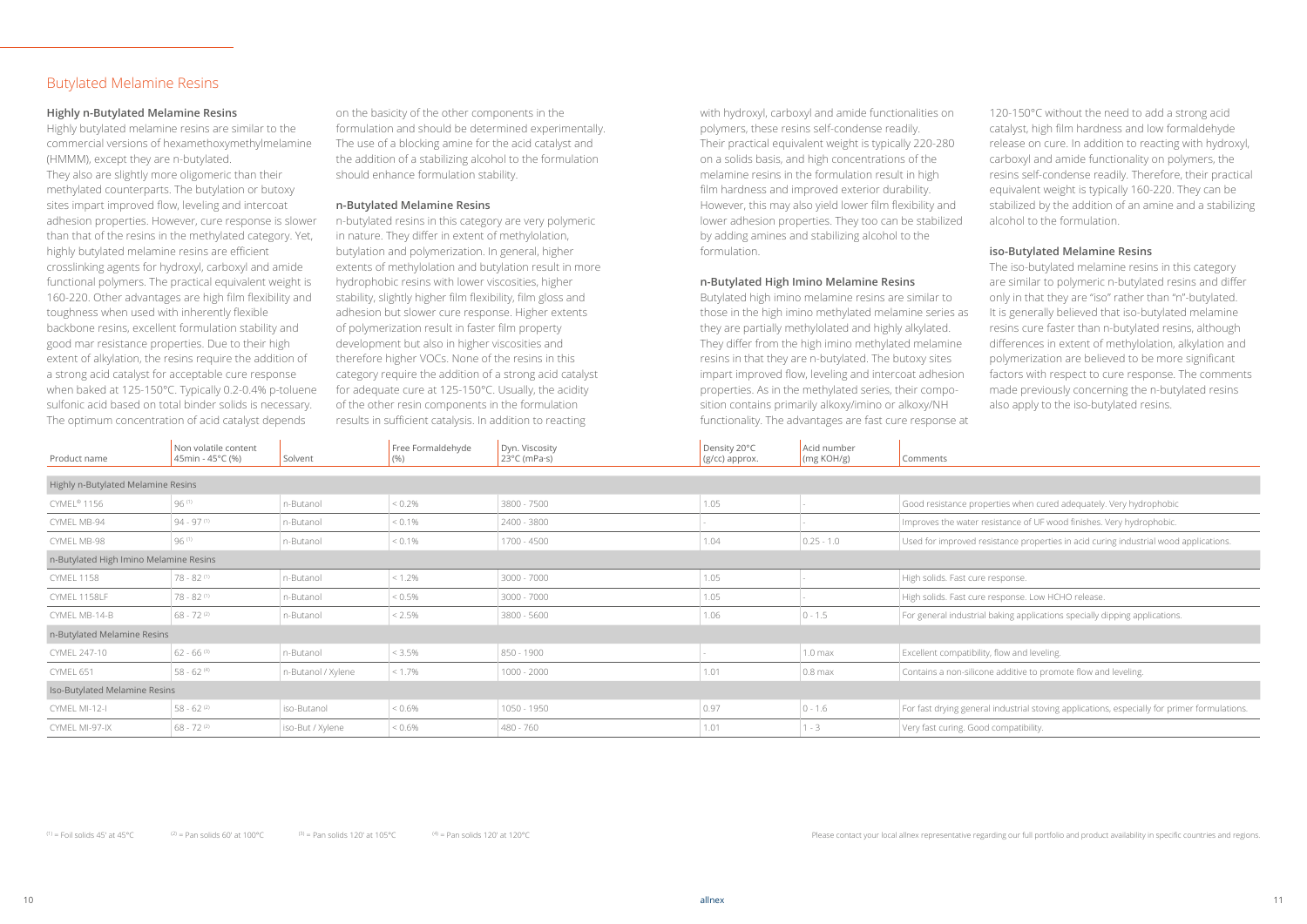#### **Highly n-Butylated Melamine Resins**

Highly butylated melamine resins are similar to the commercial versions of hexamethoxymethylmelamine (HMMM), except they are n-butylated. They also are slightly more oligomeric than their methylated counterparts. The butylation or butoxy sites impart improved flow, leveling and intercoat adhesion properties. However, cure response is slower than that of the resins in the methylated category. Yet, highly butylated melamine resins are efficient crosslinking agents for hydroxyl, carboxyl and amide functional polymers. The practical equivalent weight is 160-220. Other advantages are high film flexibility and toughness when used with inherently flexible backbone resins, excellent formulation stability and good mar resistance properties. Due to their high extent of alkylation, the resins require the addition of a strong acid catalyst for acceptable cure response when baked at 125-150°C. Typically 0.2-0.4% p-toluene sulfonic acid based on total binder solids is necessary. The optimum concentration of acid catalyst depends

on the basicity of the other components in the formulation and should be determined experimentally. The use of a blocking amine for the acid catalyst and the addition of a stabilizing alcohol to the formulation should enhance formulation stability.

#### **n-Butylated Melamine Resins**

n-butylated resins in this category are very polymeric in nature. They differ in extent of methylolation, butylation and polymerization. In general, higher extents of methylolation and butylation result in more hydrophobic resins with lower viscosities, higher stability, slightly higher film flexibility, film gloss and adhesion but slower cure response. Higher extents of polymerization result in faster film property development but also in higher viscosities and therefore higher VOCs. None of the resins in this category require the addition of a strong acid catalyst for adequate cure at 125-150°C. Usually, the acidity of the other resin components in the formulation results in sufficient catalysis. In addition to reacting

120-150°C without the need to add a strong acid catalyst, high film hardness and low formaldehyde release on cure. In addition to reacting with hydroxyl, carboxyl and amide functionality on polymers, the resins self-condense readily. Therefore, their practical equivalent weight is typically 160-220. They can be stabilized by the addition of an amine and a stabilizing alcohol to the formulation.

| Product name                           | Non volatile content<br>45min - 45°C (%) | Solvent            | Free Formaldehyde<br>(% ) | Dyn. Viscosity<br>$23^{\circ}$ C (mPa $\cdot$ s) | Density 20°C<br>(g/cc) approx. | Acid number<br>(mg KOH/g) | Comments                                                |
|----------------------------------------|------------------------------------------|--------------------|---------------------------|--------------------------------------------------|--------------------------------|---------------------------|---------------------------------------------------------|
|                                        |                                          |                    |                           |                                                  |                                |                           |                                                         |
| Highly n-Butylated Melamine Resins     |                                          |                    |                           |                                                  |                                |                           |                                                         |
| CYMEL® 1156                            | 96 (1)                                   | n-Butanol          | $< 0.2\%$                 | 3800 - 7500                                      | 1.05                           |                           | Good resistance properties when cured adequately.       |
| CYMEL MB-94                            | $94 - 97$ <sup>(1)</sup>                 | n-Butanol          | $< 0.1\%$                 | 2400 - 3800                                      |                                |                           | Improves the water resistance of UF wood finishes.      |
| CYMEL MB-98                            | 96(1)                                    | n-Butanol          | $< 0.1\%$                 | 1700 - 4500                                      | 1.04                           | $0.25 - 1.0$              | Used for improved resistance properties in acid curi    |
| n-Butylated High Imino Melamine Resins |                                          |                    |                           |                                                  |                                |                           |                                                         |
| <b>CYMEL 1158</b>                      | $78 - 82$ <sup>(1)</sup>                 | n-Butanol          | $ $ < 1.2%                | 3000 - 7000                                      | 1.05                           |                           | High solids. Fast cure response.                        |
| CYMEL 1158LF                           | $78 - 82$ <sup>(1)</sup>                 | n-Butanol          | $ $ < 0.5%                | 3000 - 7000                                      | 1.05                           |                           | High solids. Fast cure response. Low HCHO release.      |
| CYMEL MB-14-B                          | $68 - 72$ <sup>(2)</sup>                 | n-Butanol          | $< 2.5\%$                 | 3800 - 5600                                      | 1.06                           | $0 - 1.5$                 | For general industrial baking applications specially d  |
| n-Butylated Melamine Resins            |                                          |                    |                           |                                                  |                                |                           |                                                         |
| CYMEL 247-10                           | $62 - 66$ <sup>(3)</sup>                 | n-Butanol          | $ $ < 3.5%                | 850 - 1900                                       |                                | 1.0 <sub>max</sub>        | Excellent compatibility, flow and leveling.             |
| CYMEL 651                              | $58 - 62$ <sup>(4)</sup>                 | n-Butanol / Xylene | $< 1.7\%$                 | $1000 - 2000$                                    | 1.01                           | $0.8$ max                 | Contains a non-silicone additive to promote flow an     |
| Iso-Butylated Melamine Resins          |                                          |                    |                           |                                                  |                                |                           |                                                         |
| CYMEL MI-12-I                          | $58 - 62$ <sup>(2)</sup>                 | iso-Butanol        | $< 0.6\%$                 | 1050 - 1950                                      | 0.97                           | $0 - 1.6$                 | For fast drying general industrial stoving application: |
| CYMEL MI-97-IX                         | $68 - 72$ <sup>(2)</sup>                 | iso-But / Xylene   | $  0.6\%$                 | 480 - 760                                        | 1.01                           | $1 - 3$                   | Very fast curing. Good compatibility.                   |
|                                        |                                          |                    |                           |                                                  |                                |                           |                                                         |

with hydroxyl, carboxyl and amide functionalities on polymers, these resins self-condense readily. Their practical equivalent weight is typically 220-280 on a solids basis, and high concentrations of the melamine resins in the formulation result in high film hardness and improved exterior durability. However, this may also yield lower film flexibility and lower adhesion properties. They too can be stabilized by adding amines and stabilizing alcohol to the formulation.

#### **n-Butylated High Imino Melamine Resins**

Butylated high imino melamine resins are similar to those in the high imino methylated melamine series as they are partially methylolated and highly alkylated. They differ from the high imino methylated melamine resins in that they are n-butylated. The butoxy sites impart improved flow, leveling and intercoat adhesion properties. As in the methylated series, their composition contains primarily alkoxy/imino or alkoxy/NH functionality. The advantages are fast cure response at

#### **iso-Butylated Melamine Resins**

The iso-butylated melamine resins in this category are similar to polymeric n-butylated resins and differ only in that they are "iso" rather than "n"-butylated. It is generally believed that iso-butylated melamine resins cure faster than n-butylated resins, although differences in extent of methylolation, alkylation and polymerization are believed to be more significant factors with respect to cure response. The comments made previously concerning the n-butylated resins also apply to the iso-butylated resins.

erties when cured adequately. Very hydrophobic

esistance of UF wood finishes. Very hydrophobic.

sistance properties in acid curing industrial wood applications.

baking applications specially dipping applications.

e additive to promote flow and leveling.

I industrial stoving applications, especially for primer formulations.

(1) = Foil solids 45' at 45°C  $(2)$  = Pan solids 60' at 100°C  $(3)$  = Pan solids 120' at 105°C  $(4)$  = Pan solids 120' at 120°C  $(5)$  = Pan solids 120' at 120°C  $(6)$  = Pan solids 120' at 120°C  $(7)$  = Pan solids 120' at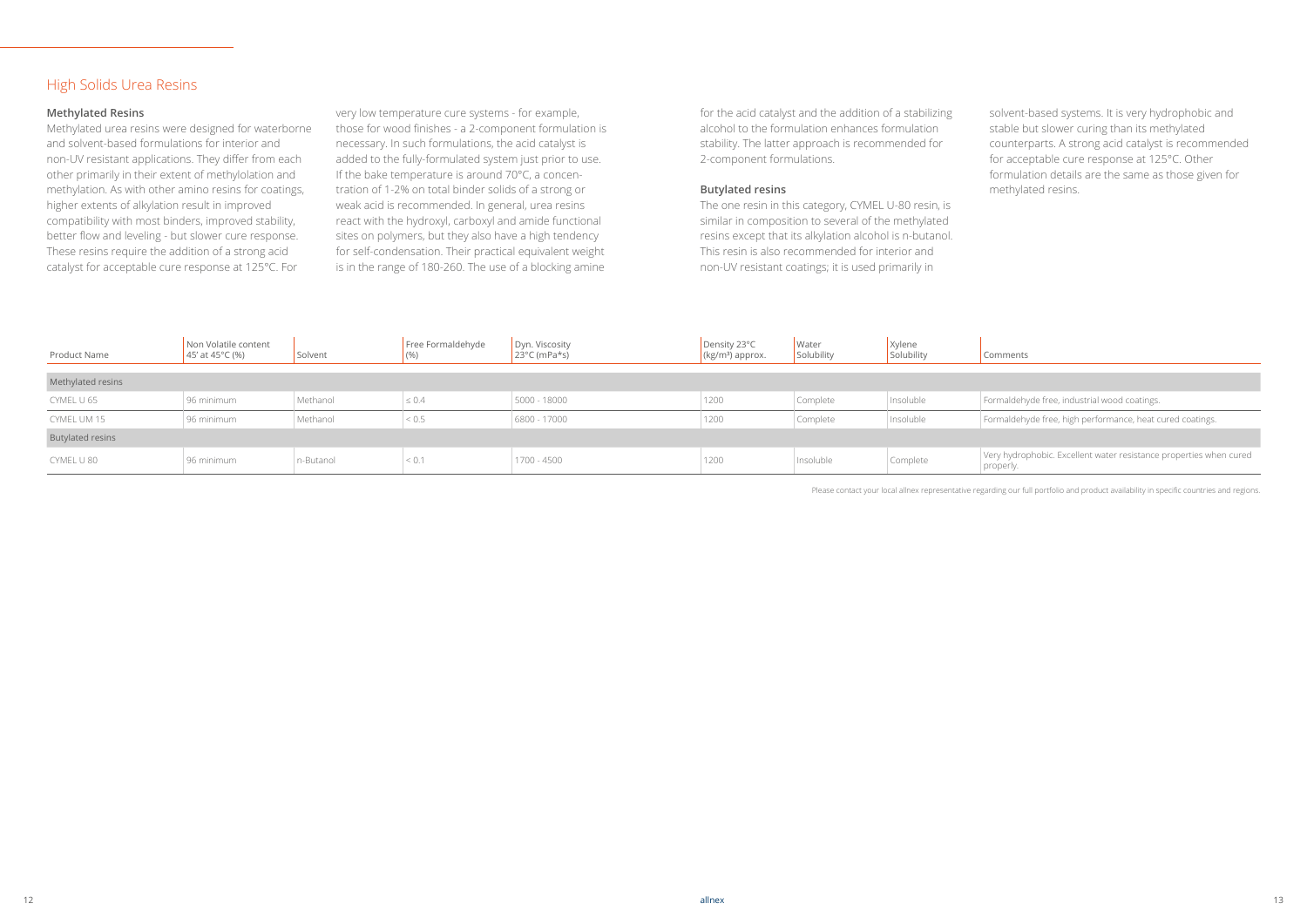#### **Methylated Resins**

Methylated urea resins were designed for waterborne and solvent-based formulations for interior and non-UV resistant applications. They differ from each other primarily in their extent of methylolation and methylation. As with other amino resins for coatings, higher extents of alkylation result in improved compatibility with most binders, improved stability, better flow and leveling - but slower cure response. These resins require the addition of a strong acid catalyst for acceptable cure response at 125°C. For

very low temperature cure systems - for example, those for wood finishes - a 2-component formulation is necessary. In such formulations, the acid catalyst is added to the fully-formulated system just prior to use. If the bake temperature is around 70°C, a concentration of 1-2% on total binder solids of a strong or weak acid is recommended. In general, urea resins react with the hydroxyl, carboxyl and amide functional sites on polymers, but they also have a high tendency for self-condensation. Their practical equivalent weight is in the range of 180-260. The use of a blocking amine

Please contact your local allnex representative regarding our full portfolio and product availability in specific countries and regions.

Very hydrophobic. Excellent water resistance properties when cured properly.

for the acid catalyst and the addition of a stabilizing alcohol to the formulation enhances formulation stability. The latter approach is recommended for 2-component formulations.

#### **Butylated resins**

The one resin in this category, CYMEL U-80 resin, is similar in composition to several of the methylated resins except that its alkylation alcohol is n-butanol. This resin is also recommended for interior and non-UV resistant coatings; it is used primarily in

solvent-based systems. It is very hydrophobic and stable but slower curing than its methylated counterparts. A strong acid catalyst is recommended for acceptable cure response at 125°C. Other formulation details are the same as those given for methylated resins.

#### Comments

Formaldehyde free, industrial wood coatings.

Formaldehyde free, high performance, heat cured coatings.

#### High Solids Urea Resins

| Product Name            | Non Volatile content<br>45' at 45°C (%) | Solvent   | Free Formaldehyde<br>(% ) | Dyn. Viscosity<br>$23^{\circ}$ C (mPa*s) | Density 23°C<br>$\kappa$ (kg/m <sup>3</sup> ) approx. | Water<br>Solubility | Xylene<br>Solubility |  |  |
|-------------------------|-----------------------------------------|-----------|---------------------------|------------------------------------------|-------------------------------------------------------|---------------------|----------------------|--|--|
| Methylated resins       |                                         |           |                           |                                          |                                                       |                     |                      |  |  |
| CYMEL U 65              | 96 minimum                              | Methanol  | $\leq 0.4$                | 5000 - 18000                             | 1200                                                  | Complete            | Insoluble            |  |  |
| CYMEL UM 15             | 96 minimum                              | Methanol  | < 0.5                     | 6800 - 17000                             | 1200                                                  | Complete            | Insoluble            |  |  |
| <b>Butylated resins</b> |                                         |           |                           |                                          |                                                       |                     |                      |  |  |
| CYMEL U 80              | 96 minimum                              | n-Butanol | < 0.1                     | 1700 - 4500                              | 1200                                                  | Insoluble           | Complete             |  |  |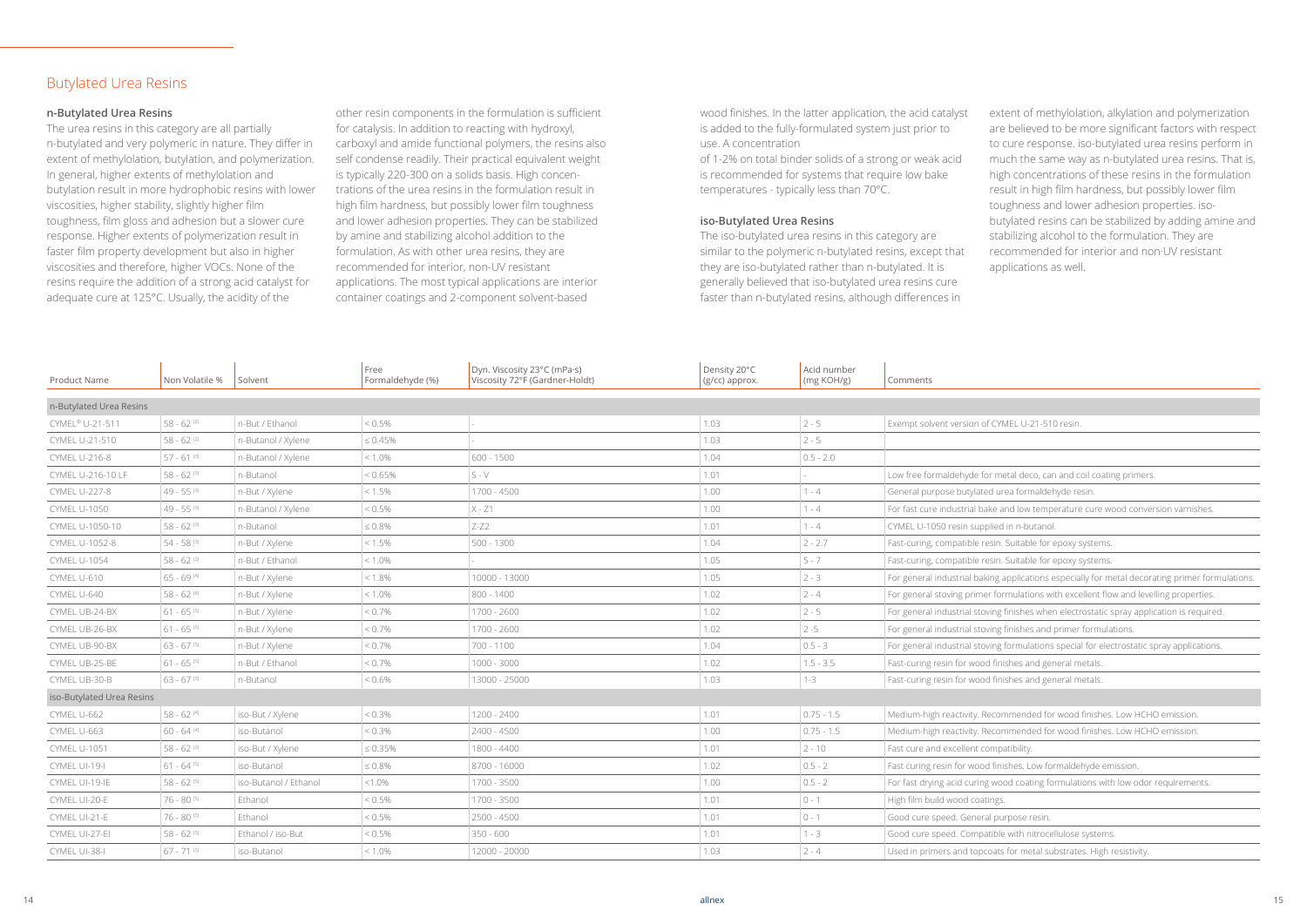#### **n-Butylated Urea Resins**

The urea resins in this category are all partially n-butylated and very polymeric in nature. They differ in extent of methylolation, butylation, and polymerization. In general, higher extents of methylolation and butylation result in more hydrophobic resins with lower viscosities, higher stability, slightly higher film toughness, film gloss and adhesion but a slower cure response. Higher extents of polymerization result in faster film property development but also in higher viscosities and therefore, higher VOCs. None of the resins require the addition of a strong acid catalyst for adequate cure at 125°C. Usually, the acidity of the

other resin components in the formulation is sufficient for catalysis. In addition to reacting with hydroxyl, carboxyl and amide functional polymers, the resins also self condense readily. Their practical equivalent weight is typically 220-300 on a solids basis. High concentrations of the urea resins in the formulation result in high film hardness, but possibly lower film toughness and lower adhesion properties. They can be stabilized by amine and stabilizing alcohol addition to the formulation. As with other urea resins, they are recommended for interior, non-UV resistant applications. The most typical applications are interior container coatings and 2-component solvent-based

wood finishes. In the latter application, the acid catalyst is added to the fully-formulated system just prior to use. A concentration

of 1-2% on total binder solids of a strong or weak acid is recommended for systems that require low bake temperatures - typically less than 70°C.

#### **iso-Butylated Urea Resins**

The iso-butylated urea resins in this category are similar to the polymeric n-butylated resins, except that they are iso-butylated rather than n-butylated. It is generally believed that iso-butylated urea resins cure faster than n-butylated resins, although differences in

extent of methylolation, alkylation and polymerization are believed to be more significant factors with respect to cure response. iso-butylated urea resins perform in much the same way as n-butylated urea resins. That is, high concentrations of these resins in the formulation result in high film hardness, but possibly lower film toughness and lower adhesion properties. isobutylated resins can be stabilized by adding amine and stabilizing alcohol to the formulation. They are recommended for interior and non·UV resistant applications as well.

metal deco, can and coil coating primers.

ke and low temperature cure wood conversion varnishes.

ng applications especially for metal decorating primer formulations.

formulations with excellent flow and levelling properties.

ing finishes when electrostatic spray application is required.

ing finishes and primer formulations.

ing formulations special for electrostatic spray applications.

commended for wood finishes. Low HCHO emission.

commended for wood finishes. Low HCHO emission.

finishes. Low formaldehyde emission.

wood coating formulations with low odor requirements.

ats for metal substrates. High resistivity.

#### Butylated Urea Resins

| Product Name              | Non Volatile %           | Solvent               | Free<br>Formaldehyde (%) | Dyn. Viscosity 23°C (mPa·s)<br>Viscosity 72°F (Gardner-Holdt) | Density 20°C<br>(g/cc) approx. | Acid number<br>(mg KOH/g) | Comments                                                      |
|---------------------------|--------------------------|-----------------------|--------------------------|---------------------------------------------------------------|--------------------------------|---------------------------|---------------------------------------------------------------|
| n-Butylated Urea Resins   |                          |                       |                          |                                                               |                                |                           |                                                               |
| CYMEL® U-21-511           | $58 - 62$ <sup>(2)</sup> | n-But / Ethanol       | $< 0.5\%$                |                                                               | 1.03                           | $2 - 5$                   | Exempt solvent version of CYMEL U-21-510 resin.               |
| CYMEL U-21-510            | $58 - 62$ <sup>(2)</sup> |                       | $\leq 0.45\%$            |                                                               | 1.03                           | $2 - 5$                   |                                                               |
|                           |                          | n-Butanol / Xylene    |                          |                                                               |                                |                           |                                                               |
| <b>CYMEL U-216-8</b>      | $57 - 61$ <sup>(3)</sup> | n-Butanol / Xylene    | $< 1.0\%$                | 600 - 1500                                                    | 1.04                           | $0.5 - 2.0$               |                                                               |
| CYMEL U-216-10 LF         | $58 - 62$ <sup>(3)</sup> | n-Butanol             | < 0.65%                  | $S - V$                                                       | 1.01                           |                           | Low free formaldehyde for metal deco, can and coil coatir     |
| <b>CYMEL U-227-8</b>      | $49 - 55^{(3)}$          | n-But / Xylene        | $< 1.5\%$                | 1700 - 4500                                                   | 1.00                           | $1 - 4$                   | General purpose butylated urea formaldehyde resin.            |
| <b>CYMEL U-1050</b>       | $49 - 55^{(3)}$          | n-Butanol / Xylene    | $< 0.5\%$                | $X - Z1$                                                      | 1.00                           | $1 - 4$                   | For fast cure industrial bake and low temperature cure wo     |
| CYMEL U-1050-10           | $58 - 62$ <sup>(3)</sup> | n-Butanol             | $\leq 0.8\%$             | $Z-Z2$                                                        | 1.01                           | $1 - 4$                   | CYMEL U-1050 resin supplied in n-butanol.                     |
| CYMEL U-1052-8            | $54 - 58^{(3)}$          | n-But / Xylene        | $< 1.5\%$                | $500 - 1300$                                                  | 1.04                           | $2 - 2.7$                 | Fast-curing, compatible resin. Suitable for epoxy systems.    |
| <b>CYMEL U-1054</b>       | $58 - 62$ <sup>(3)</sup> | n-But / Ethanol       | $< 1.0\%$                |                                                               | 1.05                           | $5 - 7$                   | Fast-curing, compatible resin. Suitable for epoxy systems.    |
| CYMEL U-610               | $65 - 69^{(4)}$          | n-But / Xylene        | $< 1.8\%$                | 10000 - 13000                                                 | 1.05                           | $2 - 3$                   | For general industrial baking applications especially for m   |
| CYMEL U-640               | 58 - 62 (4)              | n-But / Xylene        | $< 1.0\%$                | 800 - 1400                                                    | $1.02$                         | $2 - 4$                   | For general stoving primer formulations with excellent flot   |
| CYMEL UB-24-BX            | $61 - 65^{(5)}$          | n-But / Xylene        | $< 0.7\%$                | 1700 - 2600                                                   | $1.02$                         | $2 - 5$                   | For general industrial stoving finishes when electrostatic s  |
| CYMEL UB-26-BX            | $61 - 65^{(5)}$          | n-But / Xylene        | $< 0.7\%$                | 1700 - 2600                                                   | $1.02$                         | $2 - 5$                   | For general industrial stoving finishes and primer formula    |
| CYMEL UB-90-BX            | $63 - 67$ <sup>(5)</sup> | n-But / Xylene        | $< 0.7\%$                | 700 - 1100                                                    | 1.04                           | $0.5 - 3$                 | For general industrial stoving formulations special for elect |
| CYMEL UB-25-BE            | $61 - 65^{(5)}$          | n-But / Ethanol       | $< 0.7\%$                | 1000 - 3000                                                   | $1.02$                         | $1.5 - 3.5$               | Fast-curing resin for wood finishes and general metals.       |
| CYMEL UB-30-B             | $63 - 67$ <sup>(5)</sup> | n-Butanol             | $< 0.6\%$                | 13000 - 25000                                                 | 1.03                           | $1-3$                     | Fast-curing resin for wood finishes and general metals.       |
| iso-Butylated Urea Resins |                          |                       |                          |                                                               |                                |                           |                                                               |
| CYMEL U-662               | 58 - 62 (4)              | iso-But / Xylene      | $< 0.3\%$                | 1200 - 2400                                                   | 1.01                           | $0.75 - 1.5$              | Medium-high reactivity. Recommended for wood finishes.        |
| CYMEL U-663               | $60 - 64$ <sup>(4)</sup> | iso-Butanol           | $< 0.3\%$                | 2400 - 4500                                                   | 1.00                           | $0.75 - 1.5$              | Medium-high reactivity. Recommended for wood finishes.        |
| <b>CYMEL U-1051</b>       | $58 - 62$ <sup>(3)</sup> | iso-But / Xylene      | $\leq 0.35\%$            | 1800 - 4400                                                   | 1.01                           | $2 - 10$                  | Fast cure and excellent compatibility.                        |
| CYMEL UI-19-I             | $61 - 64^{(5)}$          | iso-Butanol           | $\leq 0.8\%$             | 8700 - 16000                                                  | $1.02$                         | $0.5 - 2$                 | Fast curing resin for wood finishes. Low formaldehyde em      |
| CYMEL UI-19-IE            | $58 - 62^{(5)}$          | iso-Butanol / Ethanol | $< 1.0\%$                | 1700 - 3500                                                   | 1.00                           | $0.5 - 2$                 | For fast drying acid curing wood coating formulations with    |
| CYMEL UI-20-E             | 76 - 80 (5)              | Ethanol               | $< 0.5\%$                | 1700 - 3500                                                   | 1.01                           | $0 - 1$                   | High film build wood coatings.                                |
| CYMEL UI-21-E             | 76 - 80 (5)              | Ethanol               | $< 0.5\%$                | 2500 - 4500                                                   | 1.01                           | $ 0 - 1 $                 | Good cure speed. General purpose resin.                       |
| CYMEL UI-27-EI            | $58 - 62^{(5)}$          | Ethanol / iso-But     | $< 0.5\%$                | $350 - 600$                                                   | 1.01                           | $1 - 3$                   | Good cure speed. Compatible with nitrocellulose systems       |
| CYMEL UI-38-I             | $67 - 71$ <sup>(5)</sup> | iso-Butanol           | $< 1.0\%$                | 12000 - 20000                                                 | 1.03                           | $2 - 4$                   | Used in primers and topcoats for metal substrates. High r     |
|                           |                          |                       |                          |                                                               |                                |                           |                                                               |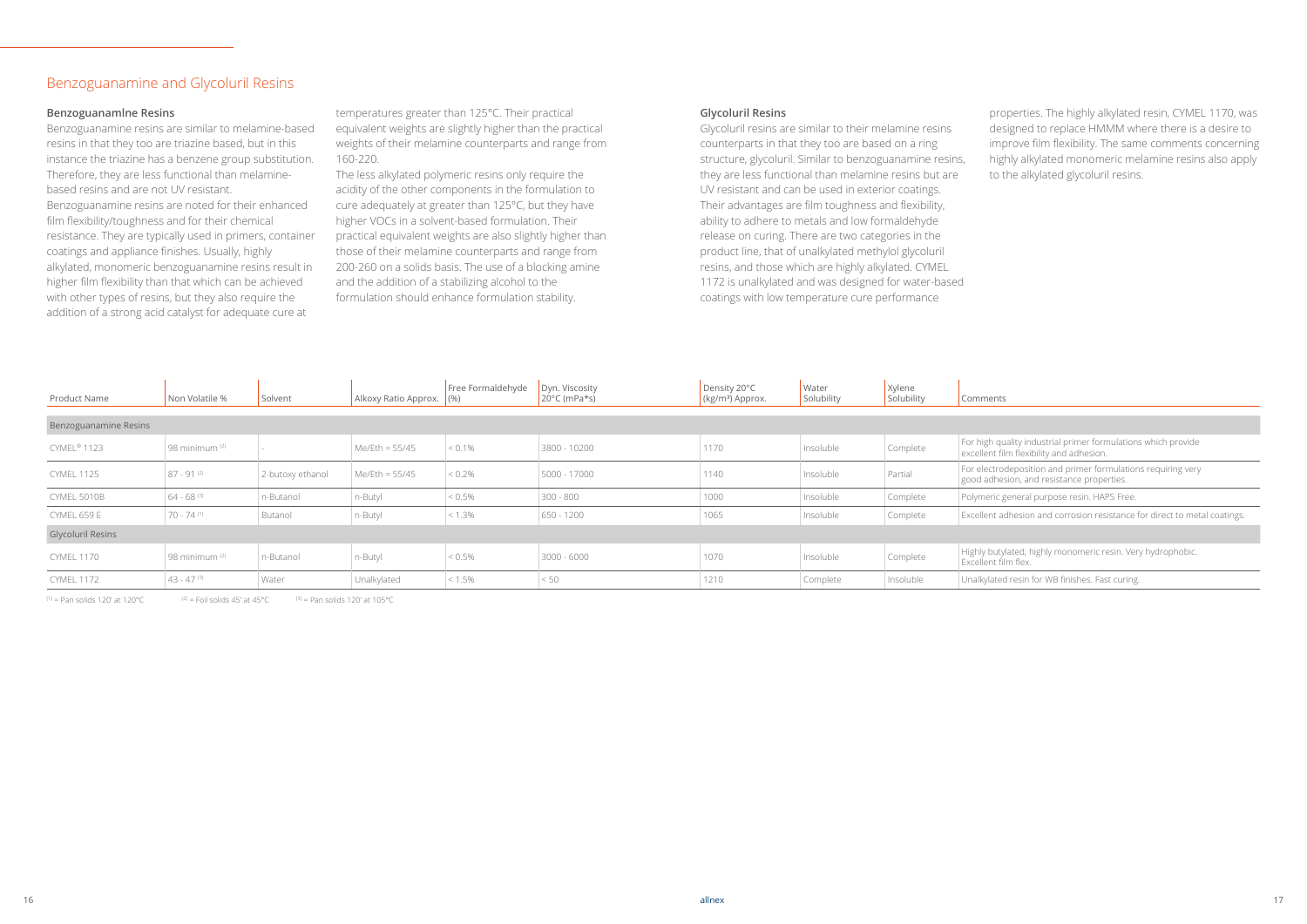#### **Glycoluril Resins**

Glycoluril resins are similar to their melamine resins counterparts in that they too are based on a ring structure, glycoluril. Similar to benzoguanamine resins, they are less functional than melamine resins but are UV resistant and can be used in exterior coatings. Their advantages are film toughness and flexibility, ability to adhere to metals and low formaldehyde release on curing. There are two categories in the product line, that of unalkylated methylol glycoluril resins, and those which are highly alkylated. CYMEL 1172 is unalkylated and was designed for water-based coatings with low temperature cure performance

properties. The highly alkylated resin, CYMEL 1170, was designed to replace HMMM where there is a desire to improve film flexibility. The same comments concerning highly alkylated monomeric melamine resins also apply to the alkylated glycoluril resins.

#### ents

gh quality industrial primer formulations which provide

 $\frac{1}{2}$ nt film flexibility and adhesion.

ectrodeposition and primer formulations requiring very dhesion, and resistance properties.

eric general purpose resin. HAPS Free.

ent adhesion and corrosion resistance for direct to metal coatings.

butylated, highly monomeric resin. Very hydrophobic. ent film flex.

lated resin for WB finishes. Fast curing.

#### **Benzoguanamlne Resins**

Benzoguanamine resins are similar to melamine-based resins in that they too are triazine based, but in this instance the triazine has a benzene group substitution. Therefore, they are less functional than melaminebased resins and are not UV resistant. Benzoguanamine resins are noted for their enhanced film flexibility/toughness and for their chemical resistance. They are typically used in primers, container coatings and appliance finishes. Usually, highly alkylated, monomeric benzoguanamine resins result in higher film flexibility than that which can be achieved with other types of resins, but they also require the addition of a strong acid catalyst for adequate cure at

temperatures greater than 125°C. Their practical equivalent weights are slightly higher than the practical weights of their melamine counterparts and range from 160-220.

The less alkylated polymeric resins only require the acidity of the other components in the formulation to cure adequately at greater than 125°C, but they have higher VOCs in a solvent-based formulation. Their practical equivalent weights are also slightly higher than those of their melamine counterparts and range from 200-260 on a solids basis. The use of a blocking amine and the addition of a stabilizing alcohol to the formulation should enhance formulation stability.

### Benzoguanamine and Glycoluril Resins

| Product Name             | Non Volatile %            | Solvent          | Alkoxy Ratio Approx. (%) | Free Formaldehyde | Dyn. Viscosity<br>$20^{\circ}$ C (mPa*s) | Density 20°C<br>$(kg/m3)$ Approx. | Water<br>Solubility | Xylene<br>Solubility | Comm                     |
|--------------------------|---------------------------|------------------|--------------------------|-------------------|------------------------------------------|-----------------------------------|---------------------|----------------------|--------------------------|
| Benzoguanamine Resins    |                           |                  |                          |                   |                                          |                                   |                     |                      |                          |
| CYMEL® 1123              | 98 minimum <sup>(2)</sup> |                  | Me/Eth = $55/45$         | $ $ < 0.1%        | 3800 - 10200                             | 1170                              | Insoluble           | Complete             | For hig<br>excelle       |
| <b>CYMEL 1125</b>        | $87 - 91^{(2)}$           | 2-butoxy ethanol | $Me/Eth = 55/45$         | $ $ < 0.2%        | 5000 - 17000                             | 1140                              | Insoluble           | Partial              | For ele<br>good a        |
| CYMEL 5010B              | $64 - 68$ <sup>(3)</sup>  | n-Butanol        | n-Butyl                  | $< 0.5\%$         | $300 - 800$                              | 1000                              | Insoluble           | Complete             | Polyme                   |
| CYMEL 659 E              | $70 - 74$ <sup>(1)</sup>  | Butanol          | n-Butyl                  | $ $ < 1.3%        | 650 - 1200                               | 1065                              | Insoluble           | Complete             | Excelle                  |
| <b>Glycoluril Resins</b> |                           |                  |                          |                   |                                          |                                   |                     |                      |                          |
| <b>CYMEL 1170</b>        | 98 minimum (2)            | n-Butanol        | n-Butyl                  | $< 0.5\%$         | $3000 - 6000$                            | 1070                              | Insoluble           | Complete             | <b>Highly</b><br>Excelle |
| <b>CYMEL 1172</b>        | $43 - 47$ <sup>(3)</sup>  | Water            | Unalkylated              | $ $ < 1.5%        | < 50                                     | 1210                              | Complete            | Insoluble            | Unalky                   |

 $^{(1)}$  = Pan solids 120' at 120°C  $^{(2)}$  = Foil solids 45' at 45°C  $^{(3)}$  = Pan solids 120' at 105°C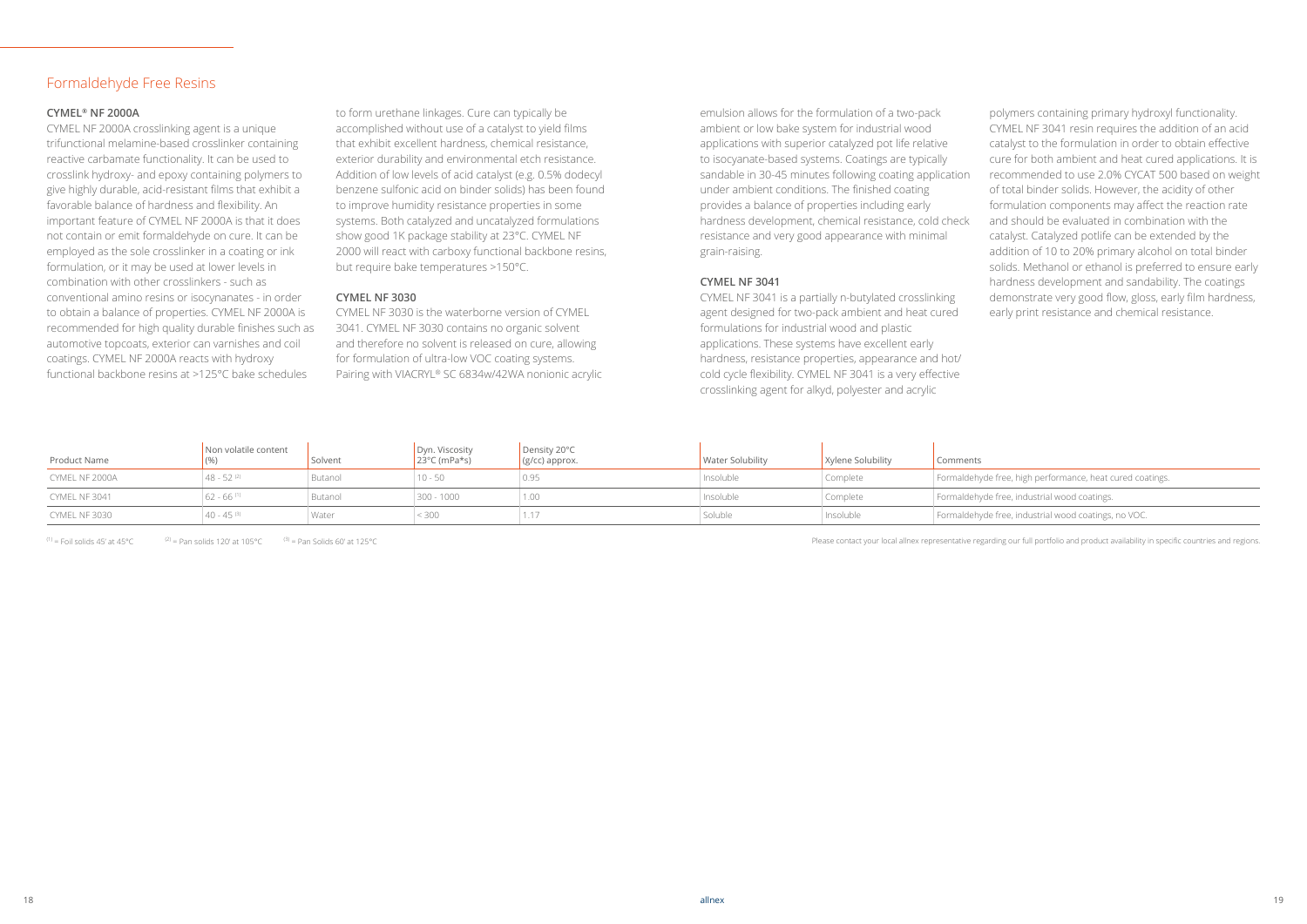#### **CYMEL® NF 2000A**

CYMEL NF 2000A crosslinking agent is a unique trifunctional melamine-based crosslinker containing reactive carbamate functionality. It can be used to crosslink hydroxy- and epoxy containing polymers to give highly durable, acid-resistant films that exhibit a favorable balance of hardness and flexibility. An important feature of CYMEL NF 2000A is that it does not contain or emit formaldehyde on cure. It can be employed as the sole crosslinker in a coating or ink formulation, or it may be used at lower levels in combination with other crosslinkers - such as conventional amino resins or isocynanates - in order to obtain a balance of properties. CYMEL NF 2000A is recommended for high quality durable finishes such as automotive topcoats, exterior can varnishes and coil coatings. CYMEL NF 2000A reacts with hydroxy functional backbone resins at >125°C bake schedules

to form urethane linkages. Cure can typically be accomplished without use of a catalyst to yield films that exhibit excellent hardness, chemical resistance, exterior durability and environmental etch resistance. Addition of low levels of acid catalyst (e.g. 0.5% dodecyl benzene sulfonic acid on binder solids) has been found to improve humidity resistance properties in some systems. Both catalyzed and uncatalyzed formulations show good 1K package stability at 23°C. CYMEL NF 2000 will react with carboxy functional backbone resins, but require bake temperatures >150°C.

#### **CYMEL NF 3030**

CYMEL NF 3030 is the waterborne version of CYMEL 3041. CYMEL NF 3030 contains no organic solvent and therefore no solvent is released on cure, allowing for formulation of ultra-low VOC coating systems. Pairing with VIACRYL® SC 6834w/42WA nonionic acrylic

#### Formaldehyde Free Resins

emulsion allows for the formulation of a two-pack ambient or low bake system for industrial wood applications with superior catalyzed pot life relative to isocyanate-based systems. Coatings are typically sandable in 30-45 minutes following coating application under ambient conditions. The finished coating provides a balance of properties including early hardness development, chemical resistance, cold check resistance and very good appearance with minimal grain-raising.

#### **CYMEL NF 3041**

CYMEL NF 3041 is a partially n-butylated crosslinking agent designed for two-pack ambient and heat cured formulations for industrial wood and plastic applications. These systems have excellent early hardness, resistance properties, appearance and hot/ cold cycle flexibility. CYMEL NF 3041 is a very effective crosslinking agent for alkyd, polyester and acrylic

polymers containing primary hydroxyl functionality. CYMEL NF 3041 resin requires the addition of an acid catalyst to the formulation in order to obtain effective cure for both ambient and heat cured applications. It is recommended to use 2.0% CYCAT 500 based on weight of total binder solids. However, the acidity of other formulation components may affect the reaction rate and should be evaluated in combination with the catalyst. Catalyzed potlife can be extended by the addition of 10 to 20% primary alcohol on total binder solids. Methanol or ethanol is preferred to ensure early hardness development and sandability. The coatings demonstrate very good flow, gloss, early film hardness, early print resistance and chemical resistance.

| e free, high performance, heat cured coatings. |
|------------------------------------------------|
| e free, industrial wood coatings.              |
| e free, industrial wood coatings, no VOC.      |
|                                                |

| Product Name   | Non volatile content   | Solvent | Dyn. Viscosity<br>$23^{\circ}$ C (mPa*s) | Density 20°C<br>(g/cc) approx. | <b>Water Solubility</b> | Xylene Solubility | Comments                                                  |
|----------------|------------------------|---------|------------------------------------------|--------------------------------|-------------------------|-------------------|-----------------------------------------------------------|
| CYMEL NF 2000A | $48 - 52^{(2)}$        | Butanol | $10 - 50$                                | 0.95                           | Insoluble               | Complete          | Formaldehyde free, high performance, heat cured coatings. |
| CYMEL NF 3041  | 62 - 66 <sup>(1)</sup> | Butanol | $300 - 1000$                             | 1.00                           | Insoluble               | Complete          | Formaldehyde free, industrial wood coatings.              |
| CYMEL NF 3030  | 40 - 45 ®              | Water   | < 300                                    | 1.17                           | Soluble                 | Insoluble         | Formaldehyde free, industrial wood coatings, no VOC.      |

(1) = Foil solids 45' at 45°C  $\qquad (2)$  = Pan solids 120' at 105°C  $\qquad (3)$  = Pan Solids 60' at 125°C  $\qquad (4)$  = Pan Solids 60' at 125°C  $\qquad (5)$  = Pan Solids 60' at 125°C  $\qquad (6)$  = Pan Solids 60' at 125°C  $\qquad (7)$  = Pan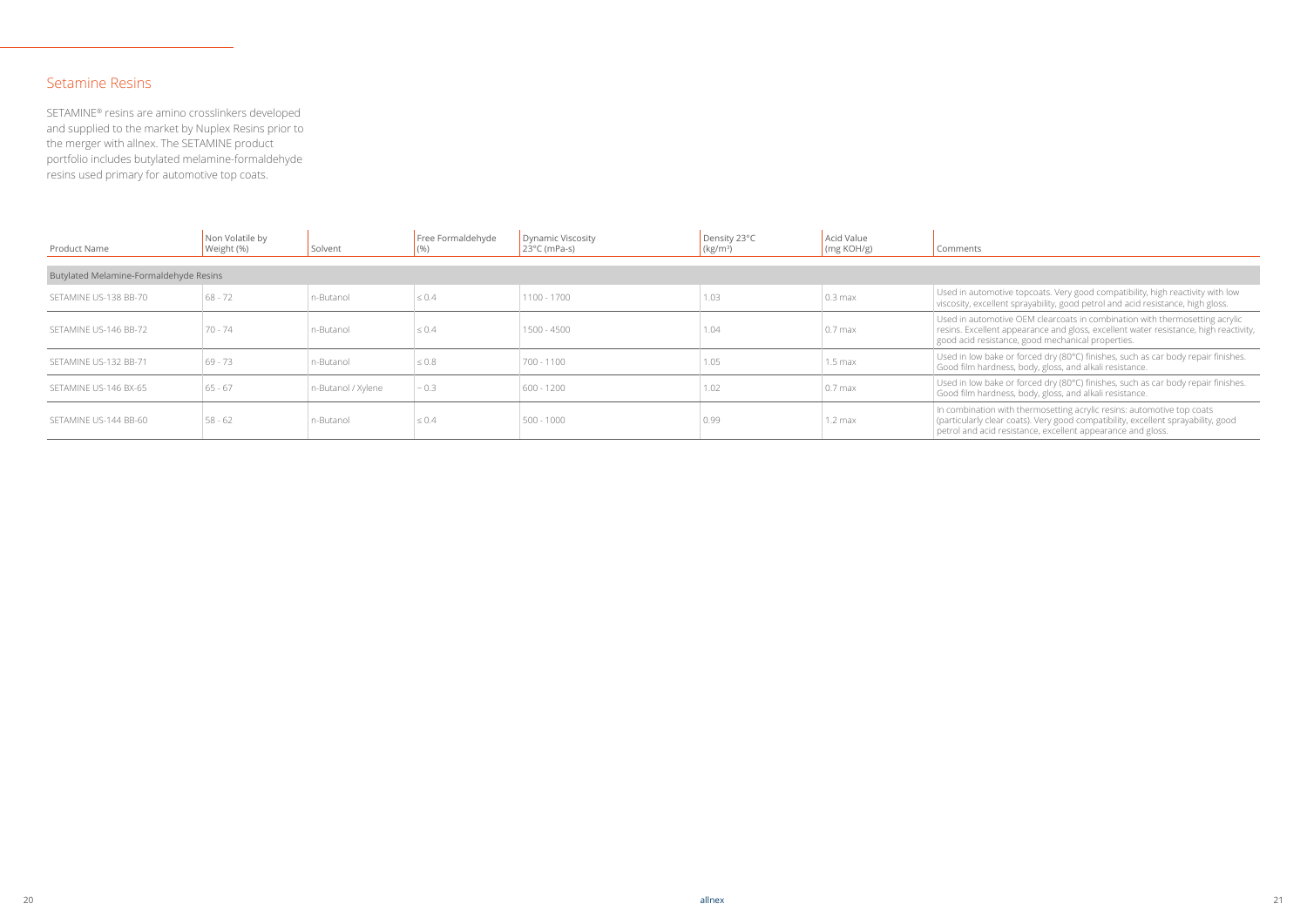| Product Name                           | Non Volatile by<br>Weight (%) | Solvent            | Free Formaldehyde | Dynamic Viscosity<br>$23^{\circ}$ C (mPa-s) | Density 23°C<br>(kg/m <sup>3</sup> ) | Acid Value<br>$\frac{1}{2}$ (mg KOH/g) | Comments                                                                                                                                                                                                                   |
|----------------------------------------|-------------------------------|--------------------|-------------------|---------------------------------------------|--------------------------------------|----------------------------------------|----------------------------------------------------------------------------------------------------------------------------------------------------------------------------------------------------------------------------|
| Butylated Melamine-Formaldehyde Resins |                               |                    |                   |                                             |                                      |                                        |                                                                                                                                                                                                                            |
|                                        |                               |                    |                   |                                             |                                      |                                        |                                                                                                                                                                                                                            |
| SETAMINE US-138 BB-70                  | $68 - 72$                     | n-Butanol          | $\leq 0.4$        | 1100 - 1700                                 | 1.03                                 | $0.3 \text{ max}$                      | Used in automotive topcoats. Very good compatibility, high reactivity with low<br>viscosity, excellent sprayability, good petrol and acid resistance, high gloss.                                                          |
| SETAMINE US-146 BB-72                  | 70 - 74                       | n-Butanol          | $\leq 0.4$        | 1500 - 4500                                 | 1.04                                 | $0.7$ max                              | Used in automotive OEM clearcoats in combination with thermosetting acrylic<br>resins. Excellent appearance and gloss, excellent water resistance, high reactiving<br>good acid resistance, good mechanical properties.    |
| SETAMINE US-132 BB-71                  | 69 - 73                       | n-Butanol          | $\leq 0.8$        | 700 - 1100                                  | 1.05                                 | $1.5 \text{ max}$                      | Used in low bake or forced dry (80°C) finishes, such as car body repair finishes.<br>Good film hardness, body, gloss, and alkali resistance.                                                                               |
| SETAMINE US-146 BX-65                  | $65 - 67$                     | n-Butanol / Xylene | $\sim 0.3$        | $600 - 1200$                                | 1.02                                 | $0.7$ max                              | Used in low bake or forced dry (80°C) finishes, such as car body repair finishes.<br>Good film hardness, body, gloss, and alkali resistance.                                                                               |
| SETAMINE US-144 BB-60                  | $58 - 62$                     | n-Butanol          | $\leq 0.4$        | $500 - 1000$                                | 0.99                                 | $1.2 \text{ max}$                      | In combination with thermosetting acrylic resins: automotive top coats<br>(particularly clear coats). Very good compatibility, excellent sprayability, good<br>petrol and acid resistance, excellent appearance and gloss. |

#### Setamine Resins

SETAMINE® resins are amino crosslinkers developed and supplied to the market by Nuplex Resins prior to the merger with allnex. The SETAMINE product portfolio includes butylated melamine-formaldehyde resins used primary for automotive top coats.